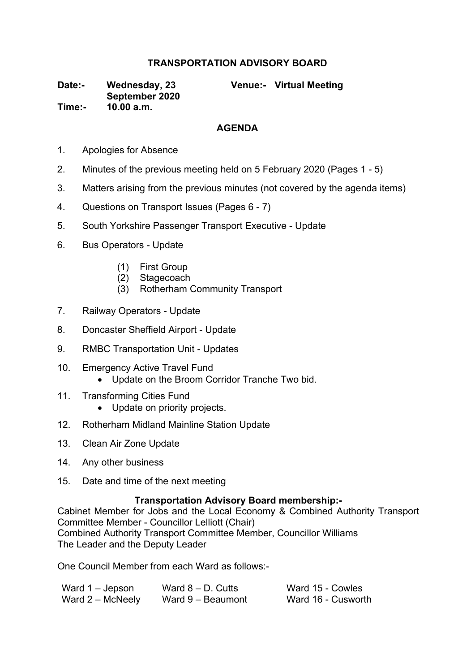## **TRANSPORTATION ADVISORY BOARD**

**Date:- Wednesday, 23 September 2020**

**Venue:- Virtual Meeting**

**Time:- 10.00 a.m.**

## **AGENDA**

- 1. Apologies for Absence
- 2. Minutes of the previous meeting held on 5 February 2020 (Pages 1 5)
- 3. Matters arising from the previous minutes (not covered by the agenda items)
- 4. Questions on Transport Issues (Pages 6 7)
- 5. South Yorkshire Passenger Transport Executive Update
- 6. Bus Operators Update
	- (1) First Group
	- (2) Stagecoach
	- (3) Rotherham Community Transport
- 7. Railway Operators Update
- 8. Doncaster Sheffield Airport Update
- 9. RMBC Transportation Unit Updates
- 10. Emergency Active Travel Fund
	- Update on the Broom Corridor Tranche Two bid.
- 11. Transforming Cities Fund
	- Update on priority projects.
- 12. Rotherham Midland Mainline Station Update
- 13. Clean Air Zone Update
- 14. Any other business
- 15. Date and time of the next meeting

## **Transportation Advisory Board membership:-**

Cabinet Member for Jobs and the Local Economy & Combined Authority Transport Committee Member - Councillor Lelliott (Chair) Combined Authority Transport Committee Member, Councillor Williams The Leader and the Deputy Leader

One Council Member from each Ward as follows:-

| Ward 1 – Jepson  | Ward $8 - D$ . Cutts | Ward 15 - Cowles   |
|------------------|----------------------|--------------------|
| Ward 2 – McNeely | Ward 9 - Beaumont    | Ward 16 - Cusworth |